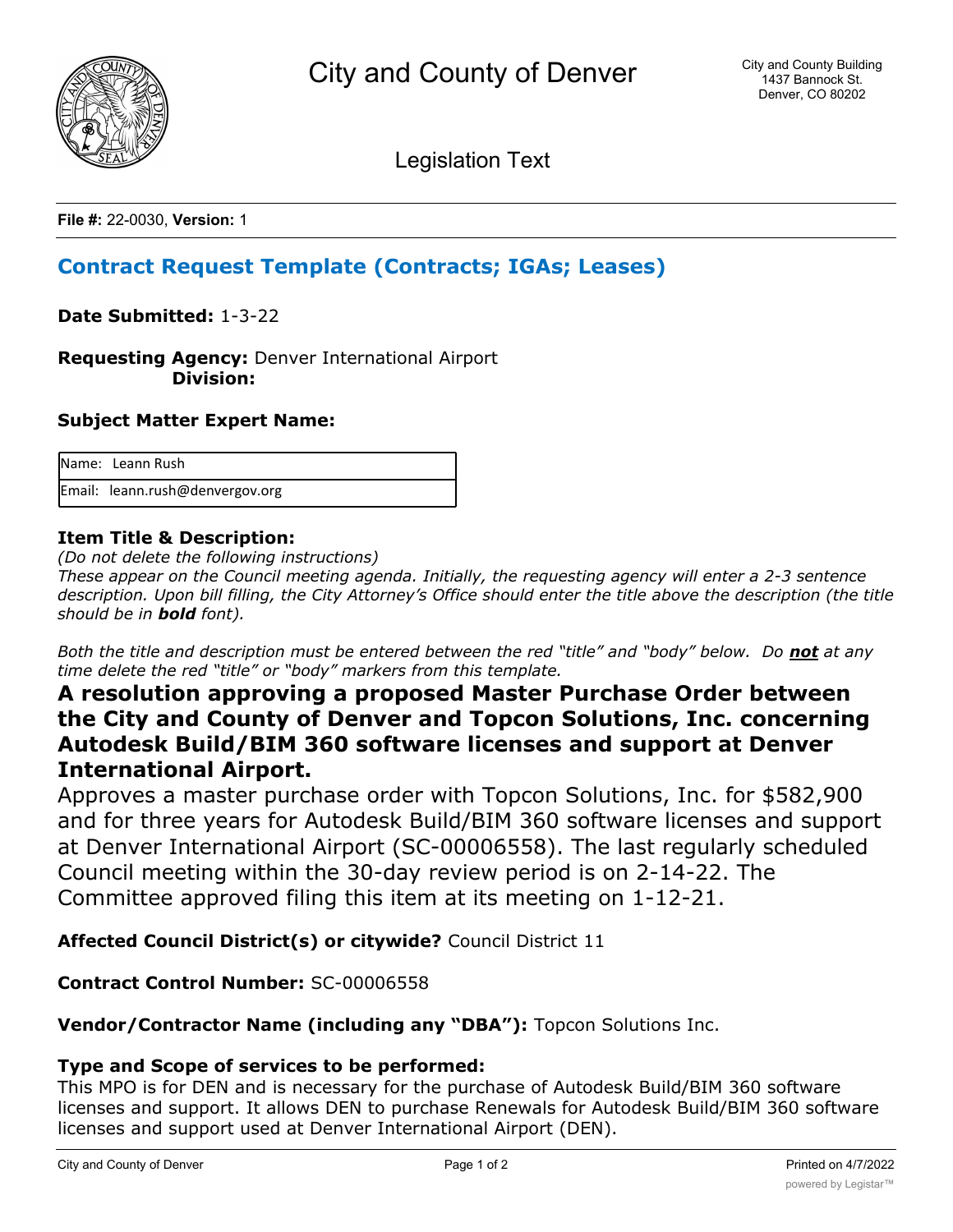

Legislation Text

**File #:** 22-0030, **Version:** 1

# **Contract Request Template (Contracts; IGAs; Leases)**

**Date Submitted:** 1-3-22

**Requesting Agency:** Denver International Airport  **Division:**

## **Subject Matter Expert Name:**

| Name: Leann Rush                |
|---------------------------------|
| Email: leann.rush@denvergov.org |

## **Item Title & Description:**

*(Do not delete the following instructions)*

*These appear on the Council meeting agenda. Initially, the requesting agency will enter a 2-3 sentence description. Upon bill filling, the City Attorney's Office should enter the title above the description (the title should be in bold font).*

*Both the title and description must be entered between the red "title" and "body" below. Do not at any time delete the red "title" or "body" markers from this template.*

## **A resolution approving a proposed Master Purchase Order between the City and County of Denver and Topcon Solutions, Inc. concerning Autodesk Build/BIM 360 software licenses and support at Denver International Airport.**

Approves a master purchase order with Topcon Solutions, Inc. for \$582,900 and for three years for Autodesk Build/BIM 360 software licenses and support at Denver International Airport (SC-00006558). The last regularly scheduled Council meeting within the 30-day review period is on 2-14-22. The Committee approved filing this item at its meeting on 1-12-21.

**Affected Council District(s) or citywide?** Council District 11

**Contract Control Number:** SC-00006558

**Vendor/Contractor Name (including any "DBA"):** Topcon Solutions Inc.

## **Type and Scope of services to be performed:**

This MPO is for DEN and is necessary for the purchase of Autodesk Build/BIM 360 software licenses and support. It allows DEN to purchase Renewals for Autodesk Build/BIM 360 software licenses and support used at Denver International Airport (DEN).